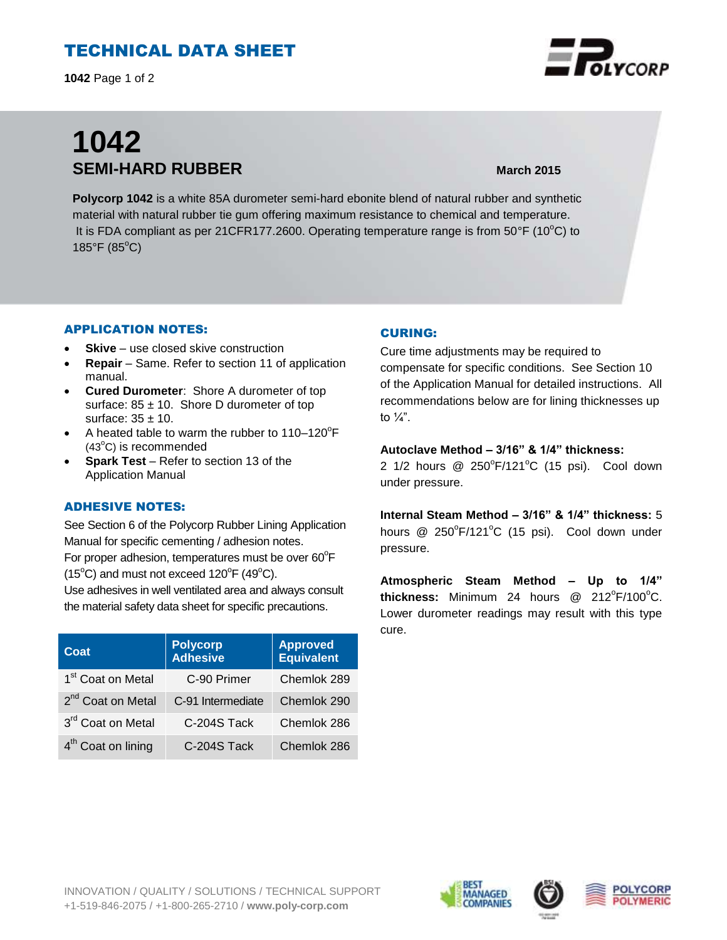# TECHNICAL DATA SHEET

**1042** Page 1 of 2

# **1042 SEMI-HARD RUBBER March 2015**

**Polycorp 1042** is a white 85A durometer semi-hard ebonite blend of natural rubber and synthetic material with natural rubber tie gum offering maximum resistance to chemical and temperature. It is FDA compliant as per 21CFR177.2600. Operating temperature range is from  $50^{\circ}$ F (10 $^{\circ}$ C) to  $185^{\circ}$ F ( $85^{\circ}$ C)

#### APPLICATION NOTES:

- **Skive** use closed skive construction
- **Repair**  Same. Refer to section 11 of application manual.
- **Cured Durometer**: Shore A durometer of top surface:  $85 \pm 10$ . Shore D durometer of top surface:  $35 \pm 10$ .
- $\bullet$  A heated table to warm the rubber to 110-120 $\mathrm{^{\circ}F}$  $(43^{\circ}C)$  is recommended
- **Spark Test** Refer to section 13 of the Application Manual

### ADHESIVE NOTES:

See Section 6 of the Polycorp Rubber Lining Application Manual for specific cementing / adhesion notes. For proper adhesion, temperatures must be over  $60^{\circ}$ F  $(15^{\circ}C)$  and must not exceed  $120^{\circ}F(49^{\circ}C)$ .

Use adhesives in well ventilated area and always consult the material safety data sheet for specific precautions.

| Coat                           | <b>Polycorp</b><br><b>Adhesive</b> | <b>Approved</b><br>Equivalent |
|--------------------------------|------------------------------------|-------------------------------|
| 1 <sup>st</sup> Coat on Metal  | C-90 Primer                        | Chemlok 289                   |
| 2 <sup>nd</sup> Coat on Metal  | C-91 Intermediate                  | Chemlok 290                   |
| 3rd Coat on Metal              | C-204S Tack                        | Chemlok 286                   |
| 4 <sup>th</sup> Coat on lining | C-204S Tack                        | Chemlok 286                   |

#### CURING:

Cure time adjustments may be required to compensate for specific conditions. See Section 10 of the Application Manual for detailed instructions. All recommendations below are for lining thicknesses up to  $\frac{1}{4}$ ".

#### **Autoclave Method – 3/16" & 1/4" thickness:**

2 1/2 hours  $@$  250 $^{\circ}$ F/121 $^{\circ}$ C (15 psi). Cool down under pressure.

**Internal Steam Method – 3/16" & 1/4" thickness:** 5 hours @ 250°F/121°C (15 psi). Cool down under pressure.

**Atmospheric Steam Method – Up to 1/4"**  thickness: Minimum 24 hours @ 212°F/100°C. Lower durometer readings may result with this type cure.